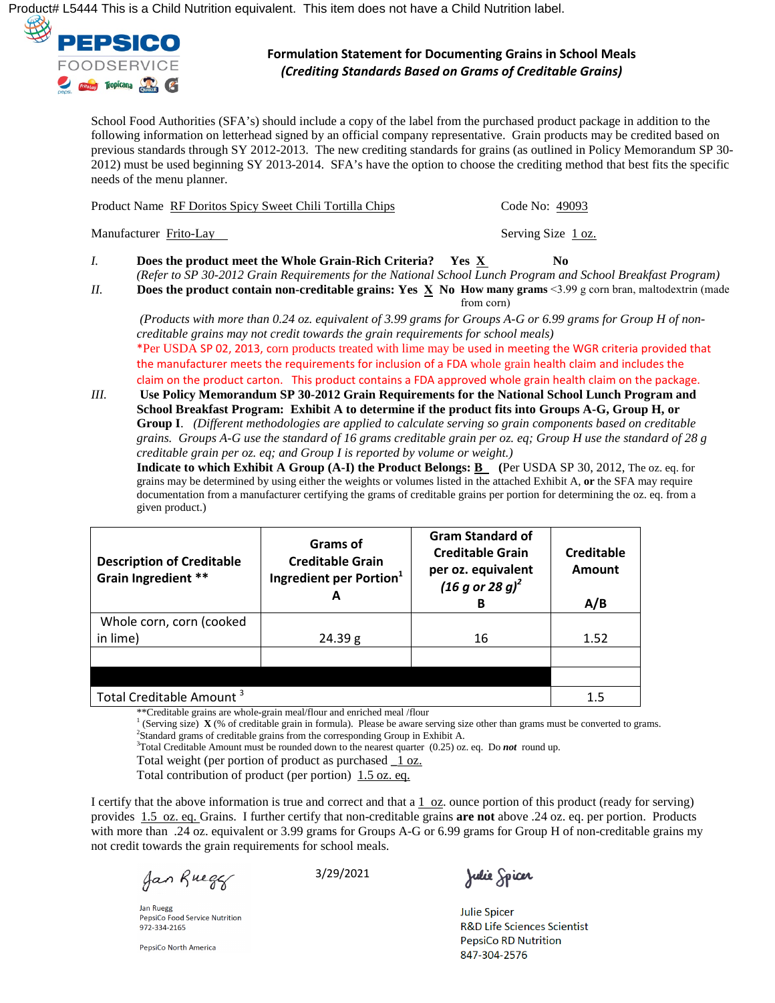Ú¦[åˇ&oÀÁŠÍIIIÁ/@ãÁãÁæÁÔ@ãåÁÞˇdãã[}Áºˇãæṛ⁄}dÉÁV@ãÁ≅t{Ás[^∙Á∫oÁ@æc^ÁæÁÔ@ãåÁÞˇdãã[}Áæà^|È



## **Formulation Statement for Documenting Grains in School Meals**  *(Crediting Standards Based on Grams of Creditable Grains)*

School Food Authorities (SFA's) should include a copy of the label from the purchased product package in addition to the following information on letterhead signed by an official company representative. Grain products may be credited based on previous standards through SY 2012-2013. The new crediting standards for grains (as outlined in Policy Memorandum SP 30- 2012) must be used beginning SY 2013-2014. SFA's have the option to choose the crediting method that best fits the specific needs of the menu planner.

|    | Product Name RF Doritos Spicy Sweet Chili Tortilla Chips                                                                                                                                                                 | Code No: 49093     |
|----|--------------------------------------------------------------------------------------------------------------------------------------------------------------------------------------------------------------------------|--------------------|
|    | Manufacturer Frito-Lay                                                                                                                                                                                                   | Serving Size 1 oz. |
| I. | <b>Does the product meet the Whole Grain-Rich Criteria?</b> Yes X<br>(Refer to SP 30-2012 Grain Requirements for the National School Lunch Program and School Breakfast Program)                                         | No.                |
| Н. | Does the product contain non-creditable grains: Yes X No How many grams <3.99 g corn bran, maltodextrin (made                                                                                                            | from corn)         |
|    | (Products with more than 0.24 oz. equivalent of 3.99 grams for Groups A-G or 6.99 grams for Group H of non-<br>creditable grains may not credit towards the grain requirements for school meals)                         |                    |
|    | *Per USDA SP 02, 2013, corn products treated with lime may be used in meeting the WGR criteria provided that<br>the manufacturer meets the requirements for inclusion of a EDA whole grain health claim and includes the |                    |

ements for inclusion of a FDA whole grain health claim and includes the claim on the product carton. This product contains a FDA approved whole grain health claim on the package.

*III.* **Use Policy Memorandum SP 30-2012 Grain Requirements for the National School Lunch Program and School Breakfast Program: Exhibit A to determine if the product fits into Groups A-G, Group H, or Group I**. *(Different methodologies are applied to calculate serving so grain components based on creditable grains. Groups A-G use the standard of 16 grams creditable grain per oz. eq; Group H use the standard of 28 g creditable grain per oz. eq; and Group I is reported by volume or weight.)*

**Indicate to which Exhibit A Group (A-I) the Product Belongs: <b>B** (Per USDA SP 30, 2012, The oz. eq. for grains may be determined by using either the weights or volumes listed in the attached Exhibit A, **or** the SFA may require documentation from a manufacturer certifying the grams of creditable grains per portion for determining the oz. eq. from a given product.)

| <b>Description of Creditable</b><br>Grain Ingredient **                                                                                                                                                                                                                | Grams of<br><b>Creditable Grain</b><br>Ingredient per Portion <sup>1</sup><br>А                                                                                                                                                          | <b>Gram Standard of</b><br><b>Creditable Grain</b><br>per oz. equivalent<br>$(16 g or 28 g)^2$<br>в | Creditable<br><b>Amount</b><br>A/B |
|------------------------------------------------------------------------------------------------------------------------------------------------------------------------------------------------------------------------------------------------------------------------|------------------------------------------------------------------------------------------------------------------------------------------------------------------------------------------------------------------------------------------|-----------------------------------------------------------------------------------------------------|------------------------------------|
| Whole corn, corn (cooked                                                                                                                                                                                                                                               |                                                                                                                                                                                                                                          |                                                                                                     |                                    |
| in lime)                                                                                                                                                                                                                                                               | 24.39 g                                                                                                                                                                                                                                  | 16                                                                                                  | 1.52                               |
|                                                                                                                                                                                                                                                                        |                                                                                                                                                                                                                                          |                                                                                                     |                                    |
|                                                                                                                                                                                                                                                                        |                                                                                                                                                                                                                                          |                                                                                                     |                                    |
| Total Creditable Amount <sup>3</sup><br>$16.06$ and $16.06$ and $16.06$ and $16.06$ and $16.06$ and $16.06$ and $16.06$ and $16.06$ and $16.06$ and $16.06$ and $16.06$ and $16.06$ and $16.06$ and $16.06$ and $16.06$ and $16.06$ and $16.06$ and $16.06$ and $16.0$ | 100<br>$\mathbf{A}$ and a set of the set of the set of the set of the set of the set of the set of the set of the set of the set of the set of the set of the set of the set of the set of the set of the set of the set of the set of t |                                                                                                     | 1.5                                |

\*\*Creditable grains are whole-grain meal/flour and enriched meal /flour<br><sup>1</sup> (Serving size) **X** (% of creditable grain in formula). Please be aware serving size other than grams must be converted to grams. <sup>2</sup>Standard grams of creditable grains from the corresponding Group in Exhibit A.

3 Total Creditable Amount must be rounded down to the nearest quarter (0.25) oz. eq. Do *not* round up.

Total weight (per portion of product as purchased **\_**1 oz.

Total contribution of product (per portion) 1.5 oz. eq.

I certify that the above information is true and correct and that a 1 oz. ounce portion of this product (ready for serving) provides 1.5 oz. eq. Grains. I further certify that non-creditable grains **are not** above .24 oz. eq. per portion. Products with more than .24 oz. equivalent or 3.99 grams for Groups A-G or 6.99 grams for Group H of non-creditable grains my not credit towards the grain requirements for school meals.

Jan Rueger

3/29/2021

**Jan Ruegg** PepsiCo Food Service Nutrition 972-334-2165

PepsiCo North America

Julie Spicer

**Julie Spicer R&D Life Sciences Scientist PepsiCo RD Nutrition** 847-304-2576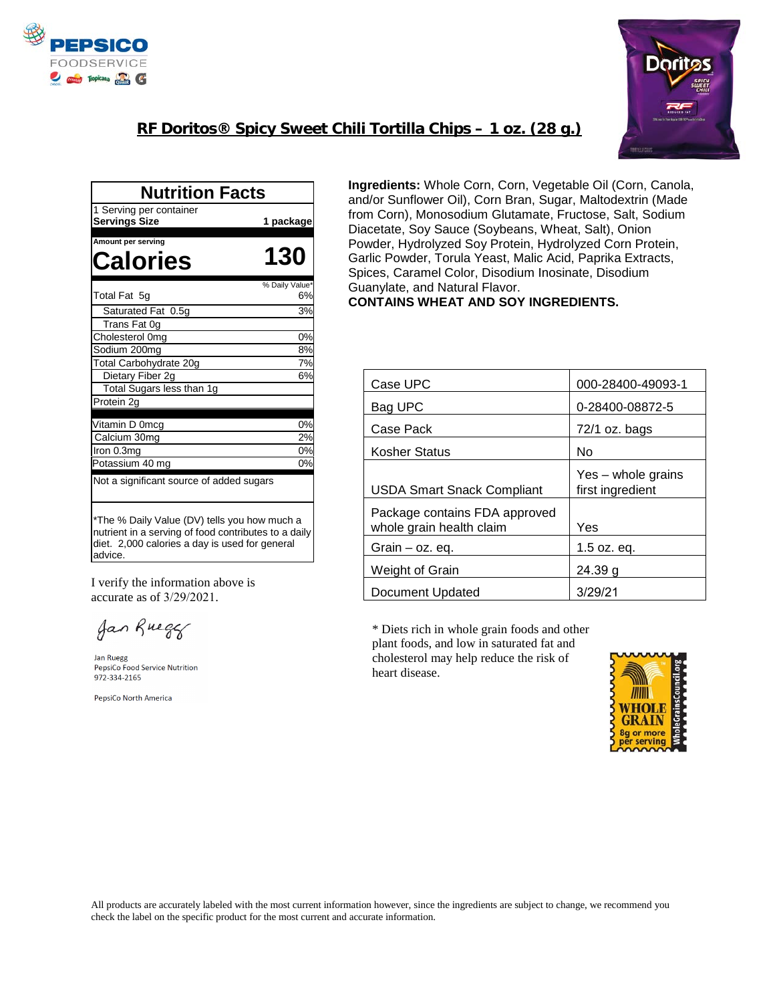



## **RF Doritos® Spicy Sweet Chili Tortilla Chips – 1 oz. (28 g.)**

| <b>Nutrition Facts</b>                                                                                                                                            |                |
|-------------------------------------------------------------------------------------------------------------------------------------------------------------------|----------------|
| 1 Serving per container<br><b>Servings Size</b>                                                                                                                   | 1 package      |
| Amount per serving                                                                                                                                                |                |
| Calories                                                                                                                                                          | 130            |
|                                                                                                                                                                   | % Daily Value* |
| Total Fat 5q                                                                                                                                                      | 6%             |
| Saturated Fat 0.5g                                                                                                                                                | 3%             |
| Trans Fat 0g                                                                                                                                                      |                |
| Cholesterol 0mg                                                                                                                                                   | 0%             |
| Sodium 200mg                                                                                                                                                      | 8%             |
| Total Carbohydrate 20g                                                                                                                                            | 7%             |
| Dietary Fiber 2g                                                                                                                                                  | 6%             |
| Total Sugars less than 1g                                                                                                                                         |                |
| Protein 2g                                                                                                                                                        |                |
| Vitamin D 0mcg                                                                                                                                                    | 0%             |
| Calcium 30mg                                                                                                                                                      | 2%             |
| Iron 0.3mg                                                                                                                                                        | 0%             |
| Potassium 40 mg                                                                                                                                                   | 0%             |
| Not a significant source of added sugars                                                                                                                          |                |
| *The % Daily Value (DV) tells you how much a<br>nutrient in a serving of food contributes to a daily<br>diet. 2,000 calories a day is used for general<br>advice. |                |

I verify the information above is accurate as of 3/29/2021.

Jan Ruegg

Jan Ruegg PepsiCo Food Service Nutrition 972-334-2165

PepsiCo North America

**Ingredients:** Whole Corn, Corn, Vegetable Oil (Corn, Canola, and/or Sunflower Oil), Corn Bran, Sugar, Maltodextrin (Made from Corn), Monosodium Glutamate, Fructose, Salt, Sodium Diacetate, Soy Sauce (Soybeans, Wheat, Salt), Onion Powder, Hydrolyzed Soy Protein, Hydrolyzed Corn Protein, Garlic Powder, Torula Yeast, Malic Acid, Paprika Extracts, Spices, Caramel Color, Disodium Inosinate, Disodium Guanylate, and Natural Flavor. **CONTAINS WHEAT AND SOY INGREDIENTS.** 

| Case UPC                                                  | 000-28400-49093-1                      |
|-----------------------------------------------------------|----------------------------------------|
| Bag UPC                                                   | 0-28400-08872-5                        |
| Case Pack                                                 | 72/1 oz. bags                          |
| Kosher Status                                             | No                                     |
| <b>USDA Smart Snack Compliant</b>                         | Yes – whole grains<br>first ingredient |
| Package contains FDA approved<br>whole grain health claim | Yes                                    |
| Grain $-$ oz. eq.                                         | $1.5$ oz. eq.                          |
| Weight of Grain                                           | 24.39 g                                |
| Document Updated                                          | 3/29/21                                |

\* Diets rich in whole grain foods and other plant foods, and low in saturated fat and cholesterol may help reduce the risk of heart disease.